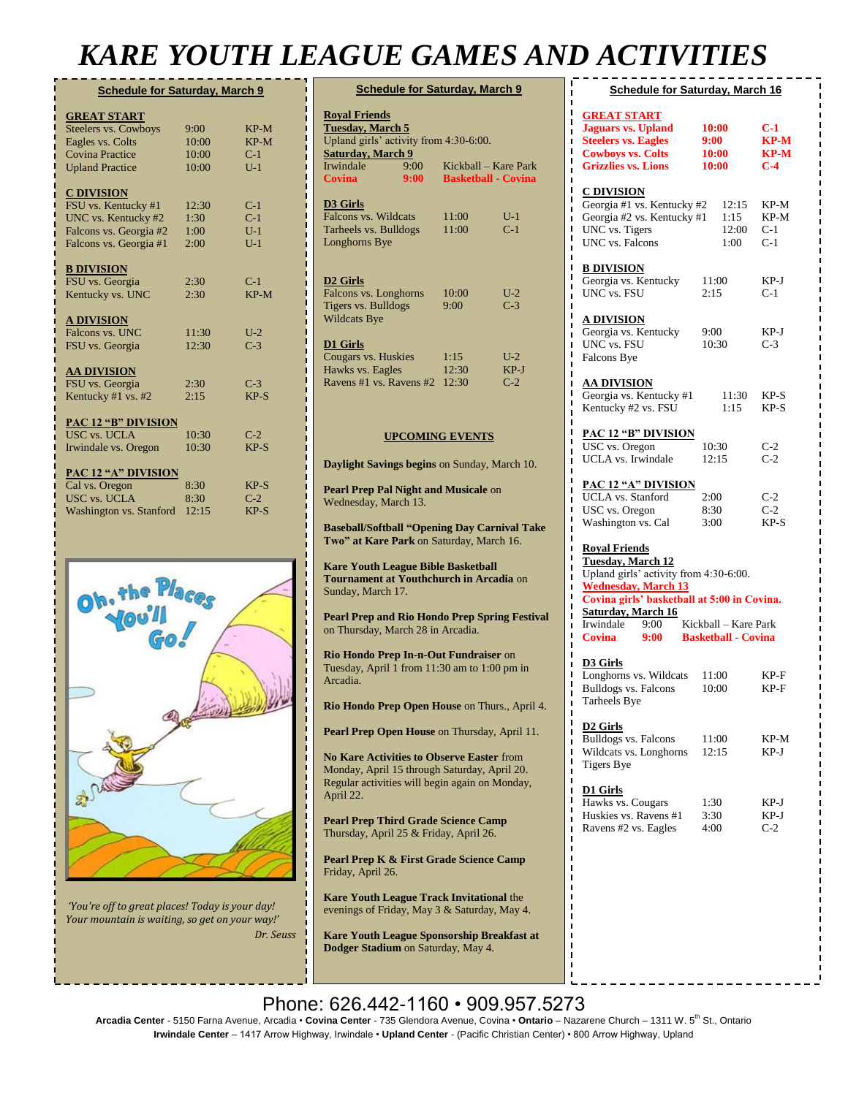## *KARE YOUTH LEAGUE GAMES AND ACTIVITIES*

**D3 Girls**

**D2 Girls**

**D** 

| <b>Schedule for Saturday, March 9</b> |       |        |  |  |
|---------------------------------------|-------|--------|--|--|
| <b>GREAT START</b>                    |       |        |  |  |
| <b>Steelers vs. Cowboys</b>           | 9:00  | $KP-M$ |  |  |
| Eagles vs. Colts                      | 10:00 | $KP-M$ |  |  |
| Covina Practice                       | 10:00 | $C-1$  |  |  |
| <b>Upland Practice</b>                | 10:00 | $U-1$  |  |  |
| <b>C DIVISION</b>                     |       |        |  |  |
| FSU vs. Kentucky #1                   | 12:30 | $C-1$  |  |  |
| UNC vs. Kentucky #2                   | 1:30  | $C-1$  |  |  |
| Falcons vs. Georgia #2                | 1:00  | $U-1$  |  |  |
| Falcons vs. Georgia #1                | 2:00  | $U-1$  |  |  |
| <b>B DIVISION</b>                     |       |        |  |  |
| FSU vs. Georgia                       | 2:30  | $C-1$  |  |  |
| Kentucky vs. UNC                      | 2:30  | $KP-M$ |  |  |
| <b>A DIVISION</b>                     |       |        |  |  |
| Falcons vs. UNC                       | 11:30 | $U-2$  |  |  |
| FSU vs. Georgia                       | 12:30 | $C-3$  |  |  |
| <b>AA DIVISION</b>                    |       |        |  |  |
| FSU vs. Georgia                       | 2:30  | $C-3$  |  |  |
| Kentucky #1 vs. #2                    | 2:15  | $KP-S$ |  |  |
| <b>PAC 12 "B" DIVISION</b>            |       |        |  |  |
| USC vs. UCLA                          | 10:30 | $C-2$  |  |  |
| Irwindale vs. Oregon                  | 10:30 | $KP-S$ |  |  |
| <b>PAC 12 "A" DIVISION</b>            |       |        |  |  |
| Cal vs. Oregon                        | 8:30  | $KP-S$ |  |  |
| <b>USC vs. UCLA</b>                   | 8:30  | $C-2$  |  |  |
| Washington vs. Stanford               | 12:15 | $KP-S$ |  |  |



*'You're off to great places! Today is your day! Your mountain is waiting, so get on your way!' Dr. Seuss*

| <b>Schedule for Saturday, March 9</b>                                         |      |                        |                            |  |  |  |
|-------------------------------------------------------------------------------|------|------------------------|----------------------------|--|--|--|
| <b>Royal Friends</b><br>Tuesday, March 5                                      |      |                        |                            |  |  |  |
| Upland girls' activity from 4:30-6:00.                                        |      |                        |                            |  |  |  |
| <b>Saturday, March 9</b>                                                      |      |                        |                            |  |  |  |
| Irwindale                                                                     | 9:00 |                        | Kickball – Kare Park       |  |  |  |
| Covina                                                                        | 9:00 |                        | <b>Basketball - Covina</b> |  |  |  |
| D3 Girls                                                                      |      |                        |                            |  |  |  |
| Falcons vs. Wildcats                                                          |      | 11:00                  | $U-1$                      |  |  |  |
| Tarheels vs. Bulldogs                                                         |      | 11:00                  | $C-1$                      |  |  |  |
| Longhorns Bye                                                                 |      |                        |                            |  |  |  |
|                                                                               |      |                        |                            |  |  |  |
|                                                                               |      |                        |                            |  |  |  |
| D2 Girls                                                                      |      |                        |                            |  |  |  |
| Falcons vs. Longhorns                                                         |      | 10:00                  | $U-2$                      |  |  |  |
| Tigers vs. Bulldogs                                                           |      | 9:00                   | $C-3$                      |  |  |  |
| <b>Wildcats Bye</b>                                                           |      |                        |                            |  |  |  |
|                                                                               |      |                        |                            |  |  |  |
| D1 Girls                                                                      |      |                        |                            |  |  |  |
| Cougars vs. Huskies                                                           |      | 1:15                   | $U-2$                      |  |  |  |
| Hawks vs. Eagles                                                              |      | 12:30                  | $KP-J$                     |  |  |  |
| Ravens #1 vs. Ravens #2                                                       |      | 12:30                  | $C-2$                      |  |  |  |
|                                                                               |      |                        |                            |  |  |  |
|                                                                               |      |                        |                            |  |  |  |
|                                                                               |      |                        |                            |  |  |  |
|                                                                               |      | <b>UPCOMING EVENTS</b> |                            |  |  |  |
|                                                                               |      |                        |                            |  |  |  |
| Daylight Savings begins on Sunday, March 10.                                  |      |                        |                            |  |  |  |
|                                                                               |      |                        |                            |  |  |  |
| Pearl Prep Pal Night and Musicale on                                          |      |                        |                            |  |  |  |
| Wednesday, March 13.                                                          |      |                        |                            |  |  |  |
|                                                                               |      |                        |                            |  |  |  |
| <b>Baseball/Softball "Opening Day Carnival Take</b>                           |      |                        |                            |  |  |  |
| Two" at Kare Park on Saturday, March 16.                                      |      |                        |                            |  |  |  |
| <b>Kare Youth League Bible Basketball</b>                                     |      |                        |                            |  |  |  |
| <b>Tournament at Youthchurch in Arcadia on</b>                                |      |                        |                            |  |  |  |
| Sunday, March 17.                                                             |      |                        |                            |  |  |  |
|                                                                               |      |                        |                            |  |  |  |
| <b>Pearl Prep and Rio Hondo Prep Spring Festival</b>                          |      |                        |                            |  |  |  |
| on Thursday, March 28 in Arcadia.                                             |      |                        |                            |  |  |  |
|                                                                               |      |                        |                            |  |  |  |
| Rio Hondo Prep In-n-Out Fundraiser on                                         |      |                        |                            |  |  |  |
| Tuesday, April 1 from 11:30 am to 1:00 pm in                                  |      |                        |                            |  |  |  |
| Arcadia.                                                                      |      |                        |                            |  |  |  |
|                                                                               |      |                        |                            |  |  |  |
| Rio Hondo Prep Open House on Thurs., April 4.                                 |      |                        |                            |  |  |  |
|                                                                               |      |                        |                            |  |  |  |
| Pearl Prep Open House on Thursday, April 11.                                  |      |                        |                            |  |  |  |
|                                                                               |      |                        |                            |  |  |  |
| <b>No Kare Activities to Observe Easter from</b>                              |      |                        |                            |  |  |  |
| Monday, April 15 through Saturday, April 20.                                  |      |                        |                            |  |  |  |
| Regular activities will begin again on Monday,                                |      |                        |                            |  |  |  |
| April 22.                                                                     |      |                        |                            |  |  |  |
|                                                                               |      |                        |                            |  |  |  |
| Pearl Prep Third Grade Science Camp<br>Thursday, April 25 & Friday, April 26. |      |                        |                            |  |  |  |
|                                                                               |      |                        |                            |  |  |  |
| Pearl Prep K & First Grade Science Camp                                       |      |                        |                            |  |  |  |
| Friday, April 26.                                                             |      |                        |                            |  |  |  |
|                                                                               |      |                        |                            |  |  |  |
| <b>Kare Youth League Track Invitational the</b>                               |      |                        |                            |  |  |  |
| evenings of Friday, May 3 & Saturday, May 4.                                  |      |                        |                            |  |  |  |
|                                                                               |      |                        |                            |  |  |  |
| Kare Youth League Sponsorship Breakfast at                                    |      |                        |                            |  |  |  |
| Dodger Stadium on Saturday, May 4.                                            |      |                        |                            |  |  |  |
|                                                                               |      |                        |                            |  |  |  |
|                                                                               |      |                        |                            |  |  |  |
|                                                                               |      |                        |                            |  |  |  |

| <b>Schedule for Saturday, March 16</b>                                                     |                                             |  |  |  |
|--------------------------------------------------------------------------------------------|---------------------------------------------|--|--|--|
| <b>10:00</b><br>9:00<br>10:00<br>10:00                                                     | C-1<br><b>KP-M</b><br>KP-M<br>$C-4$         |  |  |  |
| Georgia #1 vs. Kentucky #2<br>12:15<br>Georgia #2 vs. Kentucky #1<br>1:15<br>12:00<br>1:00 | KP-M<br>KP-M<br>$C-1$<br>$C-1$              |  |  |  |
| 11:00<br>2:15                                                                              | KP-J<br>C-1                                 |  |  |  |
| 9:00<br>10:30                                                                              | KP-J<br>$C-3$                               |  |  |  |
| 11:30<br>1:15                                                                              | KP-S<br>KP-S                                |  |  |  |
| <b>PAC 12 "B" DIVISION</b><br>10:30<br>12:15                                               | $C-2$<br>$C-2$                              |  |  |  |
| <b>PAC 12 "A" DIVISION</b><br>2:00<br>8:30<br>3:00                                         | $C-2$<br>$C-2$<br>$KP-S$                    |  |  |  |
| Upland girls' activity from 4:30-6:00.                                                     |                                             |  |  |  |
| Kickball – Kare Park<br><b>Basketball - Covina</b>                                         |                                             |  |  |  |
| 11:00<br>10:00                                                                             | KP-F<br>KP-F                                |  |  |  |
| 11:00<br>12:15                                                                             | KP-M<br>KP-J                                |  |  |  |
| 1:30<br>3:30<br>4:00                                                                       | KP-J<br>KP-J<br>$C-2$                       |  |  |  |
|                                                                                            |                                             |  |  |  |
|                                                                                            |                                             |  |  |  |
|                                                                                            | Covina girls' basketball at 5:00 in Covina. |  |  |  |

#### Phone: 626.442-1160 • 909.957.5273

**Arcadia Center** - 5150 Farna Avenue, Arcadia • **Covina Center** - 735 Glendora Avenue, Covina • **Ontario** – Nazarene Church – 1311 W. 5th St., Ontario **Irwindale Center** – 1417 Arrow Highway, Irwindale • **Upland Center** - (Pacific Christian Center) • 800 Arrow Highway, Upland